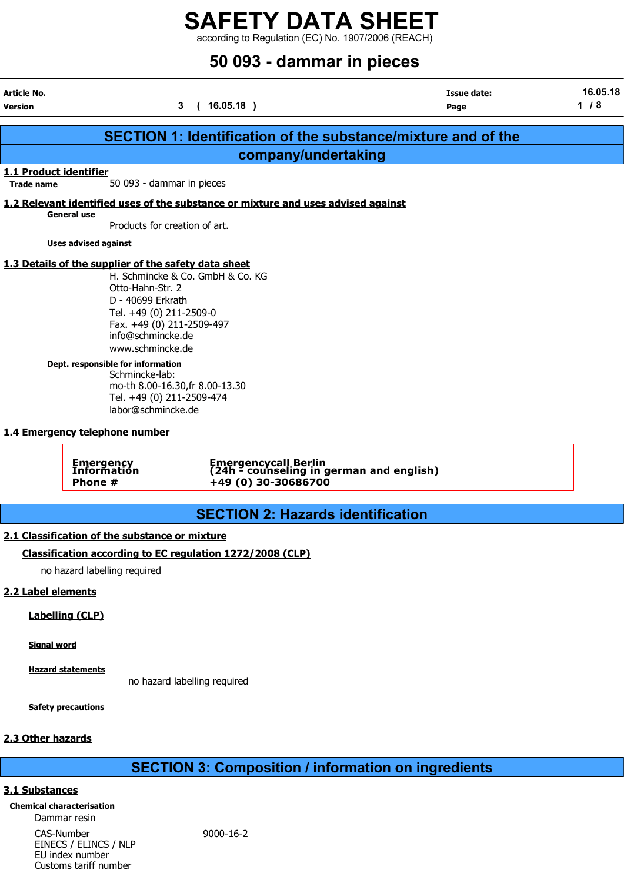according to Regulation (EC) No. 1907/2006 (REACH)

# 50 093 - dammar in pieces

| Article No.<br><b>Version</b>               |                                                                                                                                                                                                                                                | 3<br>(16.05.18)                                                                                                               | <b>Issue date:</b><br>Page                                           | 16.05.18<br>1/8 |
|---------------------------------------------|------------------------------------------------------------------------------------------------------------------------------------------------------------------------------------------------------------------------------------------------|-------------------------------------------------------------------------------------------------------------------------------|----------------------------------------------------------------------|-----------------|
|                                             |                                                                                                                                                                                                                                                |                                                                                                                               | <b>SECTION 1: Identification of the substance/mixture and of the</b> |                 |
|                                             |                                                                                                                                                                                                                                                | company/undertaking                                                                                                           |                                                                      |                 |
| 1.1 Product identifier<br><b>Trade name</b> |                                                                                                                                                                                                                                                | 50 093 - dammar in pieces                                                                                                     |                                                                      |                 |
|                                             |                                                                                                                                                                                                                                                | 1.2 Relevant identified uses of the substance or mixture and uses advised against                                             |                                                                      |                 |
|                                             | <b>General use</b>                                                                                                                                                                                                                             | Products for creation of art.                                                                                                 |                                                                      |                 |
|                                             | <b>Uses advised against</b>                                                                                                                                                                                                                    |                                                                                                                               |                                                                      |                 |
|                                             | 1.3 Details of the supplier of the safety data sheet<br>Otto-Hahn-Str. 2<br>D - 40699 Erkrath<br>Tel. +49 (0) 211-2509-0<br>info@schmincke.de<br>www.schmincke.de<br>Dept. responsible for information<br>Schmincke-lab:<br>labor@schmincke.de | H. Schmincke & Co. GmbH & Co. KG<br>Fax. +49 (0) 211-2509-497<br>mo-th 8.00-16.30, fr 8.00-13.30<br>Tel. +49 (0) 211-2509-474 |                                                                      |                 |
|                                             | 1.4 Emergency telephone number                                                                                                                                                                                                                 |                                                                                                                               |                                                                      |                 |
|                                             | <b>Emergency<br/>Information</b><br>Phone #                                                                                                                                                                                                    | +49 (0) 30-30686700                                                                                                           | Emergencycall Berlin<br>(24h - counseling in german and english)     |                 |
|                                             |                                                                                                                                                                                                                                                | <b>SECTION 2: Hazards identification</b>                                                                                      |                                                                      |                 |
|                                             | 2.1 Classification of the substance or mixture                                                                                                                                                                                                 |                                                                                                                               |                                                                      |                 |
|                                             |                                                                                                                                                                                                                                                | Classification according to EC regulation 1272/2008 (CLP)                                                                     |                                                                      |                 |
|                                             | no hazard labelling required                                                                                                                                                                                                                   |                                                                                                                               |                                                                      |                 |
| 2.2 Label elements                          |                                                                                                                                                                                                                                                |                                                                                                                               |                                                                      |                 |
|                                             | <b>Labelling (CLP)</b>                                                                                                                                                                                                                         |                                                                                                                               |                                                                      |                 |
| <b>Signal word</b>                          |                                                                                                                                                                                                                                                |                                                                                                                               |                                                                      |                 |

Hazard statements no hazard labelling required

Safety precautions

## 2.3 Other hazards

# SECTION 3: Composition / information on ingredients

## 3.1 Substances

Chemical characterisation Dammar resin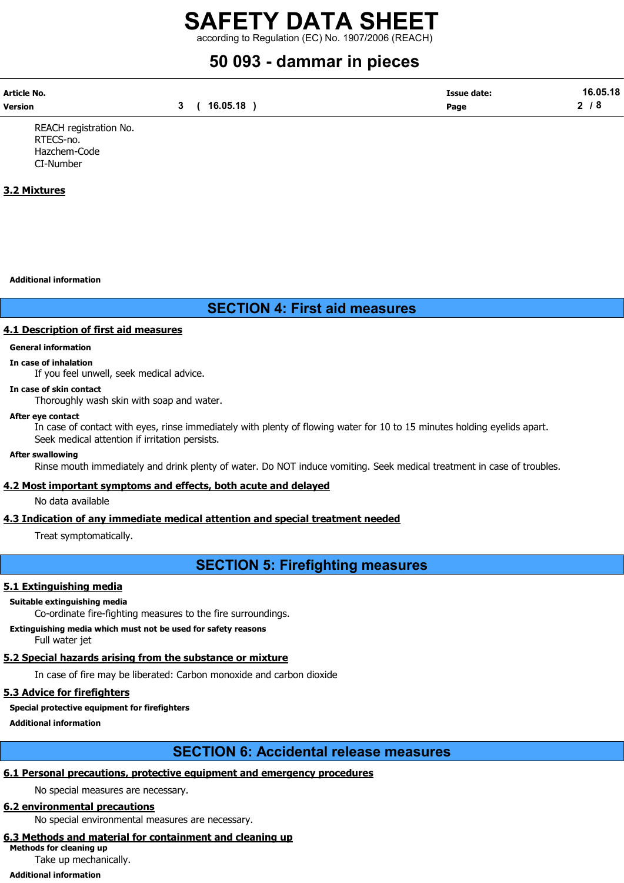according to Regulation (EC) No. 1907/2006 (REACH)

# 50 093 - dammar in pieces

| Article No. |          | <b>Issue date:</b> | 16.05.18 |
|-------------|----------|--------------------|----------|
| Version     | 16.05.18 | Page               | ◠<br>O.  |

REACH registration No. RTECS-no. Hazchem-Code CI-Number

## 3.2 Mixtures

Additional information

# SECTION 4: First aid measures

### 4.1 Description of first aid measures

# General information

In case of inhalation If you feel unwell, seek medical advice.

## In case of skin contact

Thoroughly wash skin with soap and water.

#### After eye contact

In case of contact with eyes, rinse immediately with plenty of flowing water for 10 to 15 minutes holding eyelids apart. Seek medical attention if irritation persists.

#### After swallowing

Rinse mouth immediately and drink plenty of water. Do NOT induce vomiting. Seek medical treatment in case of troubles.

### 4.2 Most important symptoms and effects, both acute and delayed

No data available

# 4.3 Indication of any immediate medical attention and special treatment needed

Treat symptomatically.

SECTION 5: Firefighting measures

# 5.1 Extinguishing media

## Suitable extinguishing media

Co-ordinate fire-fighting measures to the fire surroundings.

Extinguishing media which must not be used for safety reasons Full water jet

# 5.2 Special hazards arising from the substance or mixture

In case of fire may be liberated: Carbon monoxide and carbon dioxide

# 5.3 Advice for firefighters

# Special protective equipment for firefighters

Additional information

# SECTION 6: Accidental release measures

# 6.1 Personal precautions, protective equipment and emergency procedures

No special measures are necessary.

# 6.2 environmental precautions

No special environmental measures are necessary.

#### 6.3 Methods and material for containment and cleaning up Methods for cleaning up

Take up mechanically.

# Additional information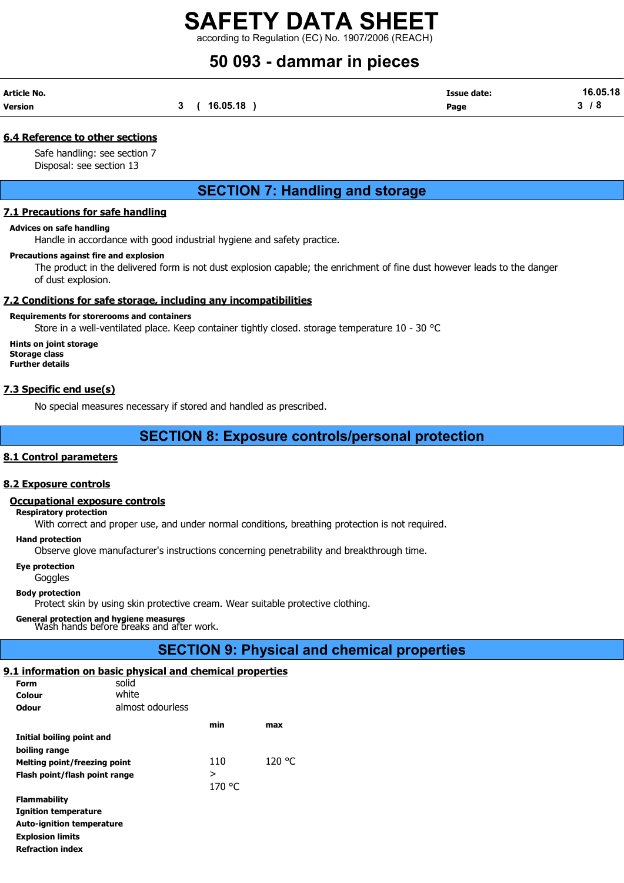according to Regulation (EC) No. 1907/2006 (REACH)

# 50 093 - dammar in pieces

| Article No. |          | <b>Issue date:</b> | 16.05.18 |
|-------------|----------|--------------------|----------|
| Version     | 16.05.18 | Page               | . о      |

## 6.4 Reference to other sections

Safe handling: see section 7 Disposal: see section 13

# SECTION 7: Handling and storage

### 7.1 Precautions for safe handling

#### Advices on safe handling

Handle in accordance with good industrial hygiene and safety practice.

#### Precautions against fire and explosion

The product in the delivered form is not dust explosion capable; the enrichment of fine dust however leads to the danger of dust explosion.

## 7.2 Conditions for safe storage, including any incompatibilities

### Requirements for storerooms and containers

Store in a well-ventilated place. Keep container tightly closed. storage temperature 10 - 30 °C

Hints on joint storage Storage class Further details

## 7.3 Specific end use(s)

No special measures necessary if stored and handled as prescribed.

# SECTION 8: Exposure controls/personal protection

### 8.1 Control parameters

### 8.2 Exposure controls

### Occupational exposure controls

Respiratory protection

With correct and proper use, and under normal conditions, breathing protection is not required.

#### Hand protection

Observe glove manufacturer's instructions concerning penetrability and breakthrough time.

#### Eye protection

**Goggles** 

#### Body protection

Protect skin by using skin protective cream. Wear suitable protective clothing.

# General protection and hygiene measures Wash hands before breaks and after work.

# SECTION 9: Physical and chemical properties

# 9.1 information on basic physical and chemical properties

| Form                             | solid            |        |        |
|----------------------------------|------------------|--------|--------|
| Colour                           | white            |        |        |
| Odour                            | almost odourless |        |        |
|                                  |                  | min    | max    |
| Initial boiling point and        |                  |        |        |
| boiling range                    |                  |        |        |
| Melting point/freezing point     |                  | 110    | 120 °C |
| Flash point/flash point range    |                  | >      |        |
|                                  |                  | 170 °C |        |
| <b>Flammability</b>              |                  |        |        |
| <b>Ignition temperature</b>      |                  |        |        |
| <b>Auto-ignition temperature</b> |                  |        |        |
| <b>Explosion limits</b>          |                  |        |        |
| <b>Refraction index</b>          |                  |        |        |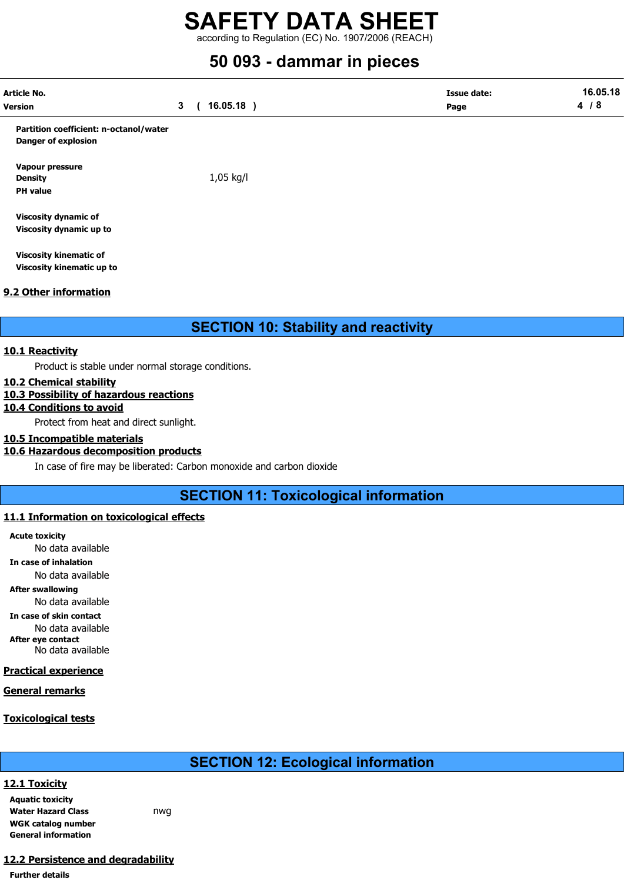according to Regulation (EC) No. 1907/2006 (REACH)

# 50 093 - dammar in pieces

| Article No.<br>Version                 | $\mathbf{3}$<br>$16.05.18$ ) | <b>Issue date:</b><br>Page | 16.05.18<br>4/8 |
|----------------------------------------|------------------------------|----------------------------|-----------------|
|                                        |                              |                            |                 |
| Partition coefficient: n-octanol/water |                              |                            |                 |
| <b>Danger of explosion</b>             |                              |                            |                 |
| Vapour pressure                        |                              |                            |                 |
| <b>Density</b>                         | 1,05 kg/l                    |                            |                 |
| <b>PH</b> value                        |                              |                            |                 |
| <b>Viscosity dynamic of</b>            |                              |                            |                 |
| Viscosity dynamic up to                |                              |                            |                 |

Viscosity kinematic of Viscosity kinematic up to

# 9.2 Other information

SECTION 10: Stability and reactivity

# 10.1 Reactivity

Product is stable under normal storage conditions.

# 10.2 Chemical stability

# 10.3 Possibility of hazardous reactions

# 10.4 Conditions to avoid

Protect from heat and direct sunlight.

# 10.5 Incompatible materials

# 10.6 Hazardous decomposition products

In case of fire may be liberated: Carbon monoxide and carbon dioxide

SECTION 11: Toxicological information

# 11.1 Information on toxicological effects

Acute toxicity No data available In case of inhalation No data available After swallowing No data available In case of skin contact No data available After eye contact No data available

# Practical experience

General remarks

# Toxicological tests

# SECTION 12: Ecological information

# 12.1 Toxicity

Aquatic toxicity Water Hazard Class **nwg** WGK catalog number General information

# 12.2 Persistence and degradability

Further details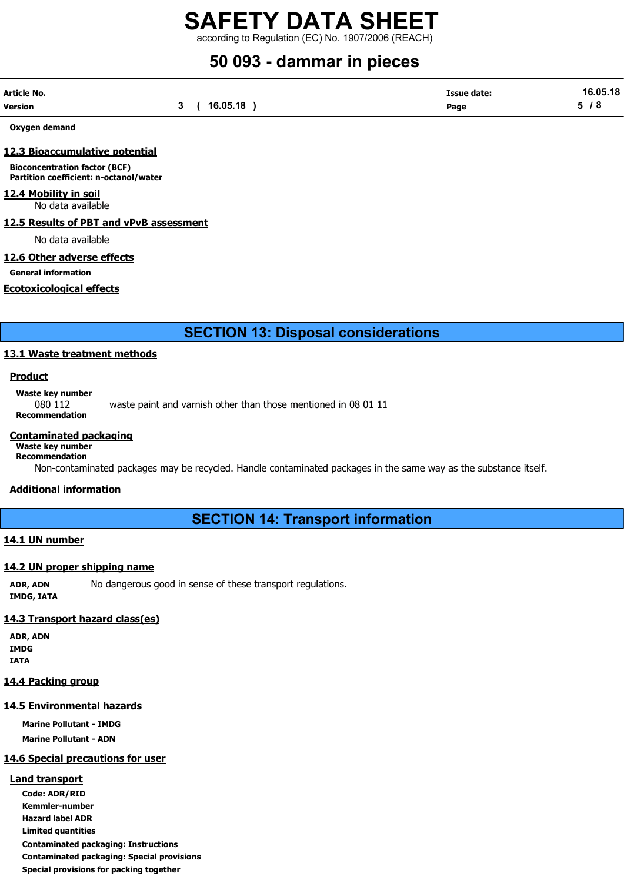according to Regulation (EC) No. 1907/2006 (REACH)

# 50 093 - dammar in pieces

| Article No.    |          | Issue date: | 16.05.18 |
|----------------|----------|-------------|----------|
| <b>Version</b> | 16.05.18 | Page        | -        |

Oxygen demand

### 12.3 Bioaccumulative potential

Bioconcentration factor (BCF) Partition coefficient: n-octanol/water

# 12.4 Mobility in soil

No data available

#### 12.5 Results of PBT and vPvB assessment

No data available

## 12.6 Other adverse effects

General information

### Ecotoxicological effects

SECTION 13: Disposal considerations

### 13.1 Waste treatment methods

#### Product

Waste key number

080 112 waste paint and varnish other than those mentioned in 08 01 11 Recommendation

#### Contaminated packaging

#### Waste key number Recommendation

Non-contaminated packages may be recycled. Handle contaminated packages in the same way as the substance itself.

### Additional information

SECTION 14: Transport information

### 14.1 UN number

# 14.2 UN proper shipping name

ADR, ADN No dangerous good in sense of these transport regulations.

IMDG, IATA

# 14.3 Transport hazard class(es)

ADR, ADN IMDG IATA

## 14.4 Packing group

# 14.5 Environmental hazards

Marine Pollutant - IMDG Marine Pollutant - ADN

# 14.6 Special precautions for user

# Land transport

Code: ADR/RID Kemmler-number Hazard label ADR Limited quantities Contaminated packaging: Instructions Contaminated packaging: Special provisions Special provisions for packing together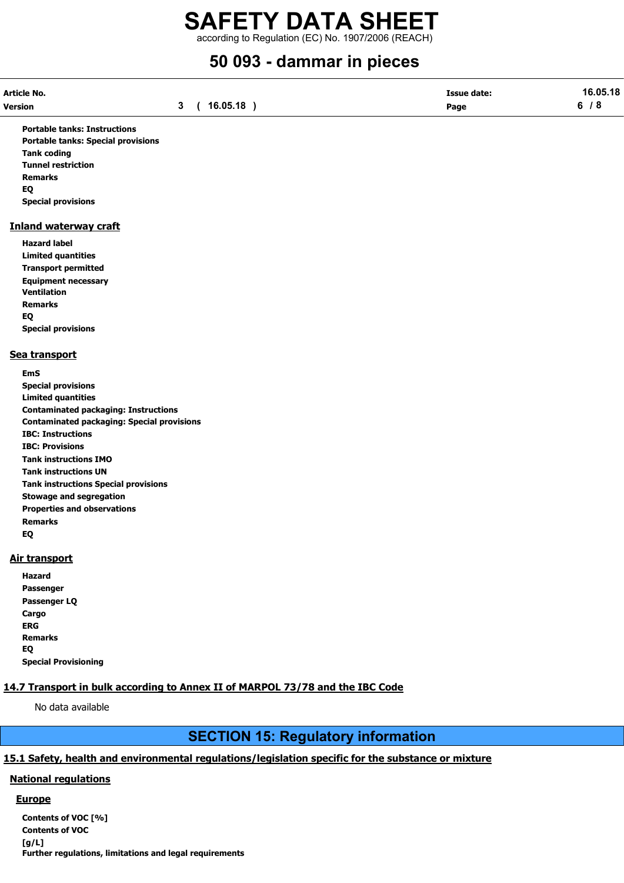according to Regulation (EC) No. 1907/2006 (REACH)

# 50 093 - dammar in pieces

| Article No. |          | Issue date: | 16.05.18 |
|-------------|----------|-------------|----------|
| Version     | 16.05.18 | Page        |          |

Portable tanks: Instructions Portable tanks: Special provisions Tank coding Tunnel restriction Remarks EQ Special provisions

### Inland waterway craft

Hazard label Limited quantities Transport permitted Equipment necessary Ventilation Remarks EQ Special provisions

### Sea transport

EmS Special provisions Limited quantities Contaminated packaging: Instructions Contaminated packaging: Special provisions IBC: Instructions IBC: Provisions Tank instructions IMO Tank instructions UN Tank instructions Special provisions Stowage and segregation Properties and observations Remarks EQ

## Air transport

| Hazard                      |
|-----------------------------|
| Passenger                   |
| Passenger LQ                |
| Cargo                       |
| ERG                         |
| <b>Remarks</b>              |
| EO                          |
| <b>Special Provisioning</b> |

# 14.7 Transport in bulk according to Annex II of MARPOL 73/78 and the IBC Code

No data available

# SECTION 15: Regulatory information

# 15.1 Safety, health and environmental regulations/legislation specific for the substance or mixture

## National regulations

### **Europe**

Contents of VOC [%] Contents of VOC [g/L] Further regulations, limitations and legal requirements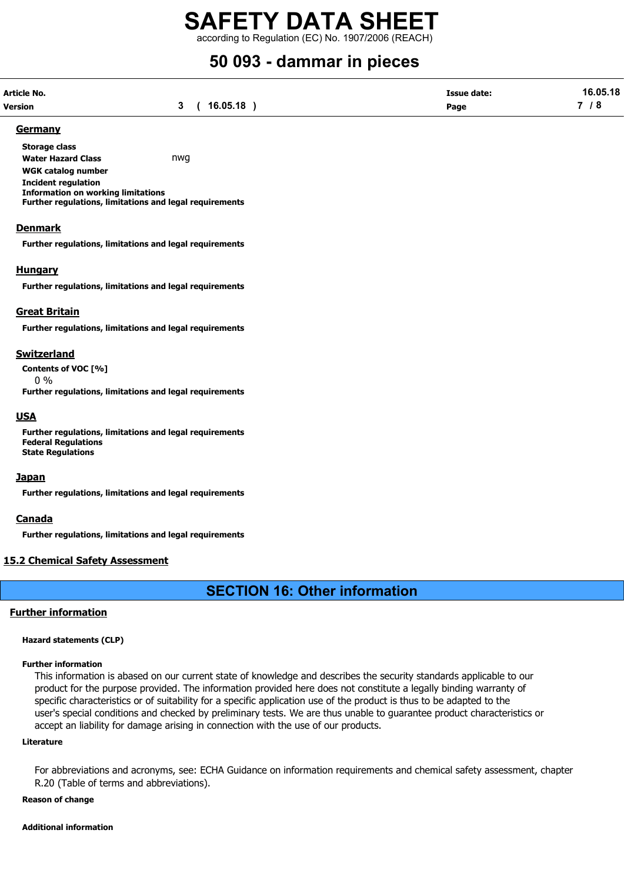according to Regulation (EC) No. 1907/2006 (REACH)

# 50 093 - dammar in pieces

| Article No.    |             | <b>Issue date:</b> | 16.05.18 |
|----------------|-------------|--------------------|----------|
| <b>Version</b> | 3(16.05.18) | Page               | 7 / 8    |

#### Germany

Storage class Water Hazard Class **nwg** WGK catalog number Incident regulation Information on working limitations Further regulations, limitations and legal requirements

#### Denmark

Further regulations, limitations and legal requirements

#### **Hungary**

Further regulations, limitations and legal requirements

#### Great Britain

Further regulations, limitations and legal requirements

#### Switzerland

Contents of VOC [%] 0 %

Further regulations, limitations and legal requirements

### **USA**

Further regulations, limitations and legal requirements Federal Regulations State Regulations

#### **Japan**

Further regulations, limitations and legal requirements

### Canada

Further regulations, limitations and legal requirements

### 15.2 Chemical Safety Assessment

# SECTION 16: Other information

### Further information

#### Hazard statements (CLP)

#### Further information

This information is abased on our current state of knowledge and describes the security standards applicable to our product for the purpose provided. The information provided here does not constitute a legally binding warranty of specific characteristics or of suitability for a specific application use of the product is thus to be adapted to the user's special conditions and checked by preliminary tests. We are thus unable to guarantee product characteristics or accept an liability for damage arising in connection with the use of our products.

#### Literature

For abbreviations and acronyms, see: ECHA Guidance on information requirements and chemical safety assessment, chapter R.20 (Table of terms and abbreviations).

#### Reason of change

#### Additional information